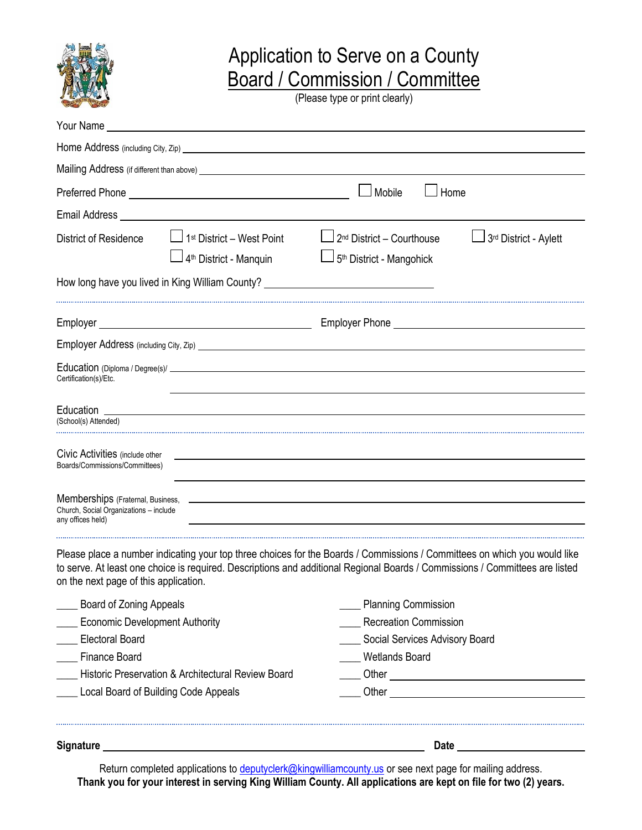

## Application to Serve on a County Board / Commission / Committee

(Please type or print clearly)

| Your Name _                                                       |                                                                                                                                                                                                                                      |                                                                                                                                                                                                                                                           |                                |  |
|-------------------------------------------------------------------|--------------------------------------------------------------------------------------------------------------------------------------------------------------------------------------------------------------------------------------|-----------------------------------------------------------------------------------------------------------------------------------------------------------------------------------------------------------------------------------------------------------|--------------------------------|--|
|                                                                   |                                                                                                                                                                                                                                      |                                                                                                                                                                                                                                                           |                                |  |
|                                                                   | Mailing Address (if different than above) <u>equal to a member of the set of the set of the set of the set of the set of the set of the set of the set of the set of the set of the set of the set of the set of the set of the </u> |                                                                                                                                                                                                                                                           |                                |  |
|                                                                   |                                                                                                                                                                                                                                      | Mobile<br>Home                                                                                                                                                                                                                                            |                                |  |
|                                                                   | Email Address National Accounts and the contract of the contract of the contract of the contract of the contract of the contract of the contract of the contract of the contract of the contract of the contract of the contra       |                                                                                                                                                                                                                                                           |                                |  |
| <b>District of Residence</b>                                      | 1 <sup>st</sup> District - West Point<br>$\Box$ 4 <sup>th</sup> District - Manquin                                                                                                                                                   | 2 <sup>nd</sup> District - Courthouse<br>5 <sup>th</sup> District - Mangohick                                                                                                                                                                             | 3rd District - Aylett          |  |
|                                                                   | How long have you lived in King William County? ________________________________                                                                                                                                                     |                                                                                                                                                                                                                                                           |                                |  |
|                                                                   |                                                                                                                                                                                                                                      |                                                                                                                                                                                                                                                           |                                |  |
|                                                                   |                                                                                                                                                                                                                                      |                                                                                                                                                                                                                                                           |                                |  |
| Certification(s)/Etc.                                             |                                                                                                                                                                                                                                      |                                                                                                                                                                                                                                                           |                                |  |
| (School(s) Attended)                                              |                                                                                                                                                                                                                                      |                                                                                                                                                                                                                                                           |                                |  |
| Civic Activities (include other<br>Boards/Commissions/Committees) |                                                                                                                                                                                                                                      |                                                                                                                                                                                                                                                           |                                |  |
| Church, Social Organizations - include<br>any offices held)       |                                                                                                                                                                                                                                      |                                                                                                                                                                                                                                                           |                                |  |
| on the next page of this application.                             |                                                                                                                                                                                                                                      | Please place a number indicating your top three choices for the Boards / Commissions / Committees on which you would like<br>to serve. At least one choice is required. Descriptions and additional Regional Boards / Commissions / Committees are listed |                                |  |
| <b>Example 3</b> Board of Zoning Appeals                          |                                                                                                                                                                                                                                      | __ Planning Commission                                                                                                                                                                                                                                    |                                |  |
| <b>Economic Development Authority</b>                             |                                                                                                                                                                                                                                      | <b>Recreation Commission</b>                                                                                                                                                                                                                              |                                |  |
| ___ Electoral Board                                               |                                                                                                                                                                                                                                      |                                                                                                                                                                                                                                                           | Social Services Advisory Board |  |
| ____ Finance Board                                                |                                                                                                                                                                                                                                      | Wetlands Board                                                                                                                                                                                                                                            |                                |  |
| Historic Preservation & Architectural Review Board                |                                                                                                                                                                                                                                      |                                                                                                                                                                                                                                                           |                                |  |
| _ Local Board of Building Code Appeals                            |                                                                                                                                                                                                                                      |                                                                                                                                                                                                                                                           |                                |  |
| <b>Signature</b>                                                  |                                                                                                                                                                                                                                      | Date                                                                                                                                                                                                                                                      |                                |  |

Return completed applications to *deputyclerk@kingwilliamcounty.us* or see next page for mailing address. **Thank you for your interest in serving King William County. All applications are kept on file for two (2) years.**